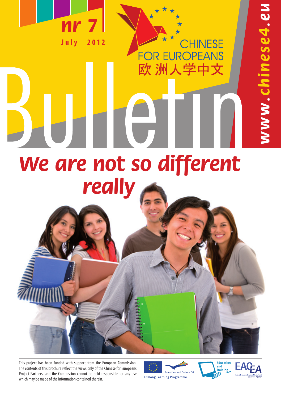

CHINESE **OR EUROPEANS** Ē٥ 欧洲人学中文

# **We are not so different really**

 $\overline{\phantom{a}}$ 

This project has been funded with support from the European Commission. The contents of this brochure reflect the views only of the Chinese for Europeans Project Partners, and the Commission cannot be held responsible for any use which may be made of the information contained therein.







WW.Chinese4.eu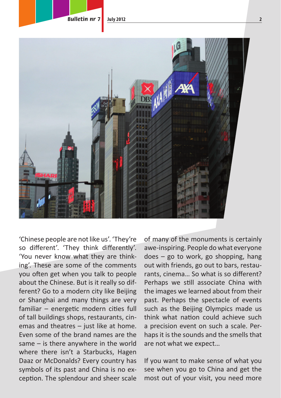

'Chinese people are not like us'. 'They're so different'. 'They think differently'. 'You never know what they are thinking'. These are some of the comments you often get when you talk to people about the Chinese. But is it really so different? Go to a modern city like Beijing or Shanghai and many things are very familiar – energetic modern cities full of tall buildings shops, restaurants, cinemas and theatres – just like at home. Even some of the brand names are the same – is there anywhere in the world where there isn't a Starbucks, Hagen Daaz or McDonalds? Every country has symbols of its past and China is no exception. The splendour and sheer scale

of many of the monuments is certainly awe-inspiring. People do what everyone does – go to work, go shopping, hang out with friends, go out to bars, restaurants, cinema… So what is so different? Perhaps we still associate China with the images we learned about from their past. Perhaps the spectacle of events such as the Beijing Olympics made us think what nation could achieve such a precision event on such a scale. Perhaps it is the sounds and the smells that are not what we expect…

If you want to make sense of what you see when you go to China and get the most out of your visit, you need more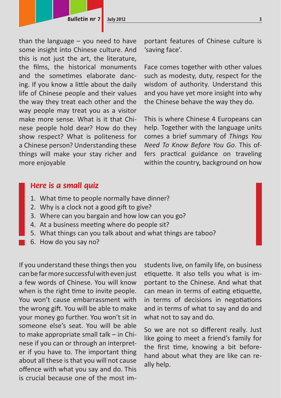than the language – you need to have some insight into Chinese culture. And this is not just the art, the literature, the films, the historical monuments and the sometimes elaborate dancing. If you know a little about the daily life of Chinese people and their values the way they treat each other and the way people may treat you as a visitor make more sense. What is it that Chinese people hold dear? How do they show respect? What is politeness for a Chinese person? Understanding these things will make your stay richer and more enjoyable

portant features of Chinese culture is 'saving face'.

Face comes together with other values such as modesty, duty, respect for the wisdom of authority. Understand this and you have yet more insight into why the Chinese behave the way they do.

This is where Chinese 4 Europeans can help. Together with the language units comes a brief summary of *Things You Need To Know Before You Go*. This offers practical guidance on traveling within the country, background on how

# **Here is a small quiz**

- 1. What time to people normally have dinner?
- 2. Why is a clock not a good gift to give?
- 3. Where can you bargain and how low can you go?
- 4. At a business meeting where do people sit?
- 5. What things can you talk about and what things are taboo?
- 6. How do you say no?

If you understand these things then you can be far more successful with even just a few words of Chinese. You will know when is the right time to invite people. You won't cause embarrassment with the wrong gift. You will be able to make your money go further. You won't sit in someone else's seat. You will be able to make appropriate small talk – in Chinese if you can or through an interpreter if you have to. The important thing about all these is that you will not cause offence with what you say and do. This is crucial because one of the most imstudents live, on family life, on business etiquette. It also tells you what is important to the Chinese. And what that can mean in terms of eating etiquette, in terms of decisions in negotiations and in terms of what to say and do and what not to say and do.

So we are not so different really. Just like going to meet a friend's family for the first time, knowing a bit beforehand about what they are like can really help.